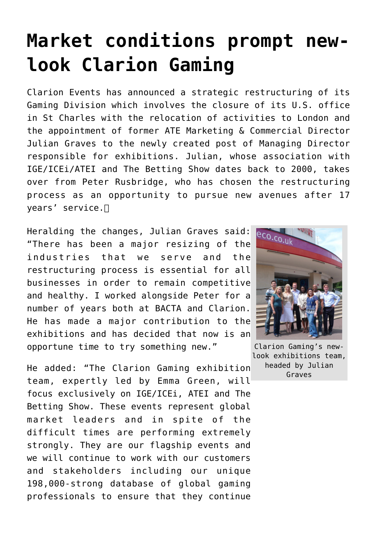## **[Market conditions prompt new](https://www.isa-guide.de/english-news/articles/25750.html)[look Clarion Gaming](https://www.isa-guide.de/english-news/articles/25750.html)**

Clarion Events has announced a strategic restructuring of its Gaming Division which involves the closure of its U.S. office in St Charles with the relocation of activities to London and the appointment of former ATE Marketing & Commercial Director Julian Graves to the newly created post of Managing Director responsible for exhibitions. Julian, whose association with IGE/ICEi/ATEI and The Betting Show dates back to 2000, takes over from Peter Rusbridge, who has chosen the restructuring process as an opportunity to pursue new avenues after 17 years' service. $\Box$ 

Heralding the changes, Julian Graves said: "There has been a major resizing of the industries that we serve and the restructuring process is essential for all businesses in order to remain competitive and healthy. I worked alongside Peter for a number of years both at BACTA and Clarion. He has made a major contribution to the exhibitions and has decided that now is an opportune time to try something new."

He added: "The Clarion Gaming exhibition team, expertly led by Emma Green, will focus exclusively on IGE/ICEi, ATEI and The Betting Show. These events represent global market leaders and in spite of the difficult times are performing extremely strongly. They are our flagship events and we will continue to work with our customers and stakeholders including our unique 198,000-strong database of global gaming professionals to ensure that they continue



Clarion Gaming's newlook exhibitions team, headed by Julian Graves